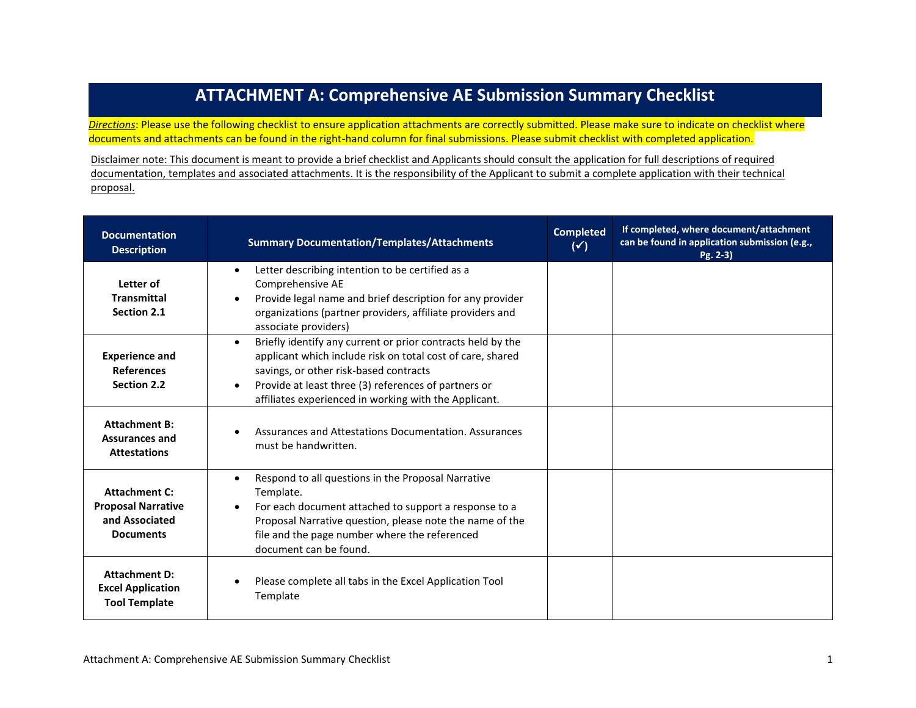## **ATTACHMENT A: Comprehensive AE Submission Summary Checklist**

*Directions*: Please use the following checklist to ensure application attachments are correctly submitted. Please make sure to indicate on checklist where documents and attachments can be found in the right-hand column for final submissions. Please submit checklist with completed application.

Disclaimer note: This document is meant to provide a brief checklist and Applicants should consult the application for full descriptions of required documentation, templates and associated attachments. It is the responsibility of the Applicant to submit a complete application with their technical proposal.

| <b>Documentation</b><br><b>Description</b>                                              | <b>Summary Documentation/Templates/Attachments</b>                                                                                                                                                                                                                                                             | <b>Completed</b><br>$(\checkmark)$ | If completed, where document/attachment<br>can be found in application submission (e.g.,<br>$Pg. 2-3$ |
|-----------------------------------------------------------------------------------------|----------------------------------------------------------------------------------------------------------------------------------------------------------------------------------------------------------------------------------------------------------------------------------------------------------------|------------------------------------|-------------------------------------------------------------------------------------------------------|
| Letter of<br><b>Transmittal</b><br>Section 2.1                                          | Letter describing intention to be certified as a<br>$\bullet$<br>Comprehensive AE<br>Provide legal name and brief description for any provider<br>organizations (partner providers, affiliate providers and<br>associate providers)                                                                            |                                    |                                                                                                       |
| <b>Experience and</b><br><b>References</b><br>Section 2.2                               | Briefly identify any current or prior contracts held by the<br>$\bullet$<br>applicant which include risk on total cost of care, shared<br>savings, or other risk-based contracts<br>Provide at least three (3) references of partners or<br>$\bullet$<br>affiliates experienced in working with the Applicant. |                                    |                                                                                                       |
| <b>Attachment B:</b><br><b>Assurances and</b><br><b>Attestations</b>                    | Assurances and Attestations Documentation. Assurances<br>must be handwritten.                                                                                                                                                                                                                                  |                                    |                                                                                                       |
| <b>Attachment C:</b><br><b>Proposal Narrative</b><br>and Associated<br><b>Documents</b> | Respond to all questions in the Proposal Narrative<br>$\bullet$<br>Template.<br>For each document attached to support a response to a<br>Proposal Narrative question, please note the name of the<br>file and the page number where the referenced<br>document can be found.                                   |                                    |                                                                                                       |
| <b>Attachment D:</b><br><b>Excel Application</b><br><b>Tool Template</b>                | Please complete all tabs in the Excel Application Tool<br>Template                                                                                                                                                                                                                                             |                                    |                                                                                                       |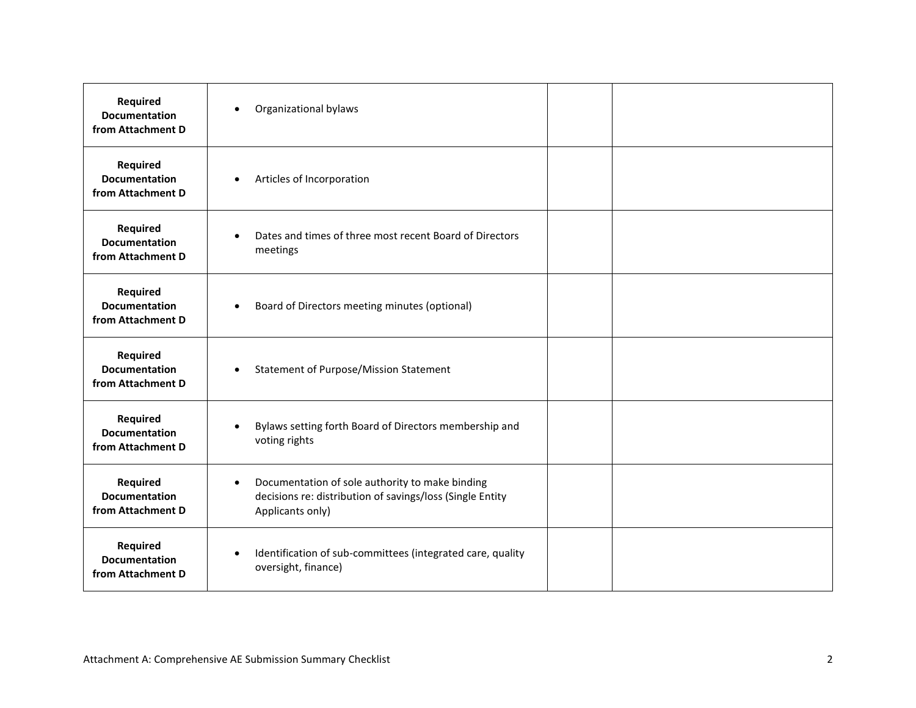| <b>Required</b><br><b>Documentation</b><br>from Attachment D | Organizational bylaws<br>$\bullet$                                                                                                            |
|--------------------------------------------------------------|-----------------------------------------------------------------------------------------------------------------------------------------------|
| Required<br><b>Documentation</b><br>from Attachment D        | Articles of Incorporation<br>$\bullet$                                                                                                        |
| <b>Required</b><br><b>Documentation</b><br>from Attachment D | Dates and times of three most recent Board of Directors<br>$\bullet$<br>meetings                                                              |
| <b>Required</b><br><b>Documentation</b><br>from Attachment D | Board of Directors meeting minutes (optional)<br>$\bullet$                                                                                    |
| <b>Required</b><br><b>Documentation</b><br>from Attachment D | <b>Statement of Purpose/Mission Statement</b><br>$\bullet$                                                                                    |
| <b>Required</b><br><b>Documentation</b><br>from Attachment D | Bylaws setting forth Board of Directors membership and<br>$\bullet$<br>voting rights                                                          |
| Required<br><b>Documentation</b><br>from Attachment D        | Documentation of sole authority to make binding<br>$\bullet$<br>decisions re: distribution of savings/loss (Single Entity<br>Applicants only) |
| <b>Required</b><br><b>Documentation</b><br>from Attachment D | Identification of sub-committees (integrated care, quality<br>$\bullet$<br>oversight, finance)                                                |